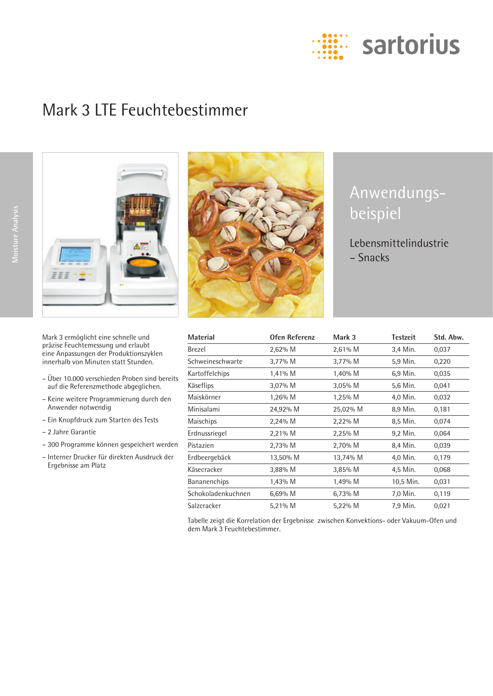

# Mark 3 LTE Feuchtebestimmer



Mark 3 ermöglicht eine schnelle und präzise Feuchtemessung und erlaubt eine Anpassungen der Produktionszyklen innerhalb von Minuten statt Stunden.

- Über 10.000 verschieden Proben sind bereits auf die Referenzmethode abgeglichen.
- Keine weitere Programmierung durch den Anwender notwendig
- Ein Knopfdruck zum Starten des Tests
- 2 Jahre Garantie
- 300 Programme können gespeichert werden
- Interner Drucker für direkten Ausdruck der Ergebnisse am Platz



# Anwendungsbeispiel

Lebensmittelindustrie – Snacks

| <b>Material</b>    | Ofen Referenz | Mark 3    | <b>Testzeit</b> | Std. Abw. |
|--------------------|---------------|-----------|-----------------|-----------|
| Brezel             | 2,62% M       | 2,61% M   | 3,4 Min.        | 0,037     |
| Schweineschwarte   | $3,77\%$ M    | 3,77% M   | 5,9 Min.        | 0,220     |
| Kartoffelchips     | 1,41% M       | 1,40% M   | 6,9 Min.        | 0,035     |
| Käseflips          | $3,07\%$ M    | $3,05%$ M | 5,6 Min.        | 0,041     |
| Maiskörner         | $1,26%$ M     | 1,25% M   | 4,0 Min.        | 0,032     |
| Minisalami         | 24,92% M      | 25,02% M  | 8,9 Min.        | 0,181     |
| Maischips          | 2,24% M       | 2,22% M   | 8,5 Min.        | 0,074     |
| Erdnussriegel      | 2,21% M       | 2,25% M   | 9,2 Min.        | 0,064     |
| Pistazien          | 2,73% M       | 2,70% M   | 8,4 Min.        | 0,039     |
| Erdbeergebäck      | 13,50% M      | 13,74% M  | 4,0 Min.        | 0,179     |
| Käsecracker        | 3,88% M       | 3,85% M   | 4,5 Min.        | 0,068     |
| Bananenchips       | 1,43% M       | 1,49% M   | 10,5 Min.       | 0,031     |
| Schokoladenkuchnen | 6,69% M       | 6,73% M   | 7,0 Min.        | 0,119     |
| Salzcracker        | 5,21% M       | 5,22% M   | 7,9 Min.        | 0,021     |

Tabelle zeigt die Korrelation der Ergebnisse zwischen Konvektions- oder Vakuum-Ofen und dem Mark 3 Feuchtebestimmer.